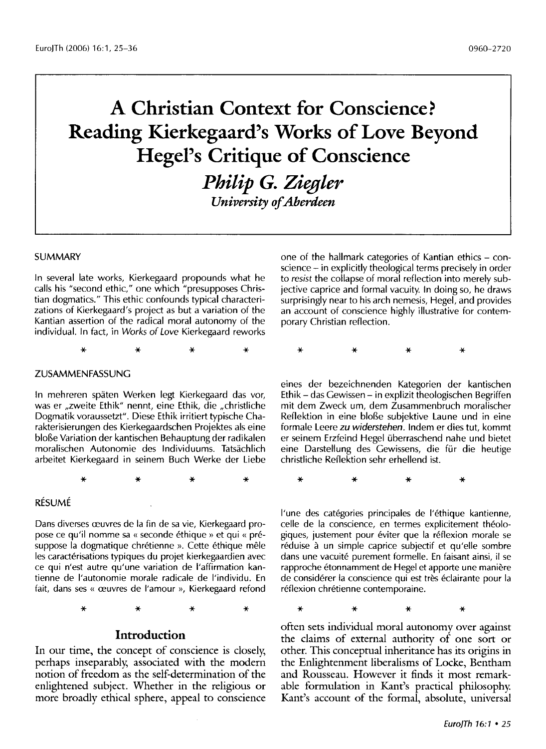# **A Christian Context for Conscience? Reading Kierkegaard's Works of Love Beyond Hegel's Critique of Conscience**

*Philip G. Ziegler University of Aberdeen* 

#### SUMMARY

In several late works, Kierkegaard propounds what he calls his "second ethic," one which "presupposes Christian dogmatics." This ethic confounds typical characterizations of Kierkegaard's project as but a variation of the Kantian assertion of the radical moral autonomy of the individual. In fact, in *Works* of *Love* Kierkegaard reworks

\* \* \* \*

#### ZUSAMMENFASSUNG

In mehreren spaten Werken legt Kierkegaard das vor, was er ,zweite Ethik" nennt, eine Ethik, die ,christliche Dogmatik voraussetzt". Diese Ethik irritiert typische Charakterisierungen des Kierkegaardschen Projektes als eine bloBe Variation der kantischen Behauptung der radikalen moralischen Autonomie des lndividuums. Tatsachlich arbeitet Kierkegaard in seinem Buch Werke der Liebe

\* \* \* \*

### RÉSUMÉ

Dans diverses reuvres de la fin de sa vie, Kierkegaard propose ce qu'il nomme sa « seconde éthique » et qui « présuppose la dogmatique chrétienne ». Cette éthique mêle les caractérisations typiques du projet kierkegaardien avec ce qui n'est autre qu'une variation de !'affirmation kantienne de l'autonomie morale radicale de l'individu. En fait, dans ses « œuvres de l'amour », Kierkegaard refond

\* \* \* \*

## **Introduction**

In our time, the concept of conscience is closely, perhaps inseparably, associated with the modern notion of freedom as the self-determination of the enlightened subject. Whether in the religious or more broadly ethical sphere, appeal to conscience one of the hallmark categories of Kantian ethics – conscience- in explicitly theological terms precisely in order to *resist* the collapse of moral reflection into merely subjective caprice and formal vacuity. In doing so, he draws surprisingly near to his arch nemesis, Hegel, and provides an account of conscience highly illustrative for contemporary Christian reflection.

\* \* \* \*

eines der bezeichnenden Kategorien der kantischen Ethik- das Gewissen- in explizit theologischen Begriffen mit dem Zweck urn, dem Zusammenbruch moralischer Reflektion in eine bloBe subjektive Laune und in eine formale Leere *zu widerstehen.* lndem er dies tut, kommt er seinem Erzfeind Hegel uberraschend nahe und bietet eine Darstellung des Gewissens, die für die heutige christliche Reflektion sehr erhellend ist.

\* \* \* \*

l'une des categories principales de l'ethique kantienne, celle de la conscience, en termes explicitement theologiques, justement pour éviter que la réflexion morale se réduise à un simple caprice subjectif et qu'elle sombre dans une vacuite purement formelle. En faisant ainsi, il se rapproche etonnamment de Hegel et apporte une maniere de considérer la conscience qui est très éclairante pour la réflexion chrétienne contemporaine.

\* \* \* \*

often sets individual moral autonomy over against the claims of external authority of one sort or other. This conceptual inheritance has its origins in the Enlightenment liberalisms of Locke, Bentham and Rousseau. However it finds it most remarkable formulation in Kant's practical philosophy. Kant's account of the formal, absolute, universal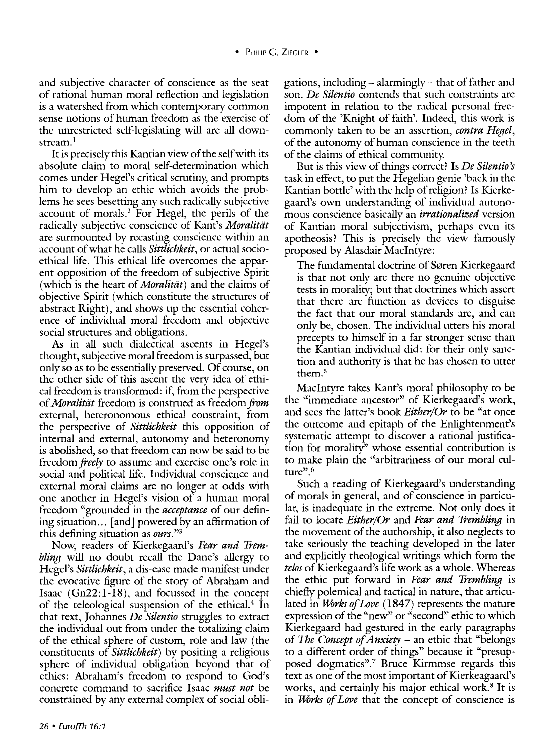and subjective character of conscience as the seat of rational human moral reflection and legislation is a watershed from which contemporary common sense notions of human freedom as the exercise of the unrestricted self-legislating will are all downstream.<sup>1</sup>

It is precisely this Kantian view of the self with its absolute claim to moral self-determination which comes under Hegel's critical scrutiny; and prompts him to develop an ethic which avoids the problems he sees besetting any such radically subjective account of morals.<sup>2</sup> For Hegel, the perils of the radically subjective conscience of Kant's *Moralitiit*  are surmounted by recasting conscience within an account of what he calls *Sittlichkeit,* or actual socioethical life. This ethical life overcomes the apparent opposition of the freedom of subjective Spirit (which is the heart of *Moralitiit)* and the claims of objective Spirit (which constitute the structures of abstract Right), and shows up the essential coherence of individual moral freedom and objective social structures and obligations.

As in all such dialectical ascents in Hegel's thought, subjective moral freedom is surpassed, but only so as to be essentially preserved. Of course, on the other side of this ascent the very idea of ethical freedom is transformed: if, from the perspective of *Moralitiit* freedom is construed as freedom *from*  external, heteronomous ethical constraint, from the perspective of *Sittlichkeit* this opposition of internal and external, autonomy and heteronomy is abolished, so that freedom can now be said to be freedom *freely* to assume and exercise one's role in social and political life. Individual conscience and external moral claims are no longer at odds with one another in Hegel's vision of a human moral freedom "grounded in the *acceptance* of our defining situation... [and] powered by an affirmation of this defining situation as *ours."3* 

Now, readers of Kierkegaard's *Fear and Trembling* will no doubt recall the Dane's allergy to Hegel's *Sittlichkeit,* a dis-ease made manifest under the evocative figure of the story of Abraham and Isaac (Gn22:1-18), and focussed in the concept of the teleological suspension of the ethical.<sup>4</sup> In that text, Johannes *De Silentio* struggles to extract the individual out from under the totalizing claim of the ethical sphere of custom, role and law (the constituents of *Sittlichkeit)* by positing a religious sphere of individual obligation beyond that of ethics: Abraham's freedom to respond to God's concrete command to sacrifice Isaac *must not* be constrained by any external complex of social obligations, including- alarmingly- that of father and son. *De Silentio* contends that such constraints are impotent in relation to the radical personal freedom of the 'Knight of faith'. Indeed, this work is commonly taken to be an assertion, *contra Hegel,*  of the autonomy of human conscience in the teeth of the claims of ethical community.

But is this view of things correct? Is *De Silentio's*  task in effect, to put the Hegelian genie 'back in the Kantian bottle' with the help of religion? Is Kierkegaard's own understanding of individual autonomous conscience basically an *irrationalized* version of Kantian moral subjectivism, perhaps even its apotheosis? This is precisely the view famously proposed by Alasdair Maclntyre:

The fundamental doctrine of Søren Kierkegaard is that not only are there no genuine objective tests in morality; but that doctrines which assert that there are function as devices to disguise the fact that our moral standards are, and can only be, chosen. The individual utters his moral precepts to himself in a far stronger sense than the Kantian individual did: for their only sanction and authority is that he has chosen to utter them.<sup>5</sup>

Maclntyre takes Kant's moral philosophy to be the "immediate ancestor" of Kierkegaard's work, and sees the latter's book *Either/Or* to be "at once the outcome and epitaph of the Enlightenment's systematic attempt to discover a rational justification for morality" whose essential contribution is to make plain the "arbitrariness of our moral culture".<sup>6</sup>

Such a reading of Kierkegaard's understanding of morals in general, and of conscience in particular, is inadequate in the extreme. Not only does it fail to locate *Either/Or* and *Fear and Trembling* in the movement of the authorship, it also neglects to take seriously the teaching developed in the later and explicitly theological writings which form the *telos* of Kierkegaard's life work as a whole. Whereas the ethic put forward in *Fear and Trembling* is chiefly polemical and tactical in nature, that articulated in *Works of Love* (1847) represents the mature expression of the "new" or "second" ethic to which Kierkegaard had gestured in the early paragraphs of *The Concept of Anxiety* - an ethic that "belongs to a different order of things" because it "presupposed dogmatics".<sup>7</sup> Bruce Kirmmse regards this text as one of the most important of Kierkeagaard's works, and certainly his major ethical work.<sup>8</sup> It is in *Works of Love* that the concept of conscience is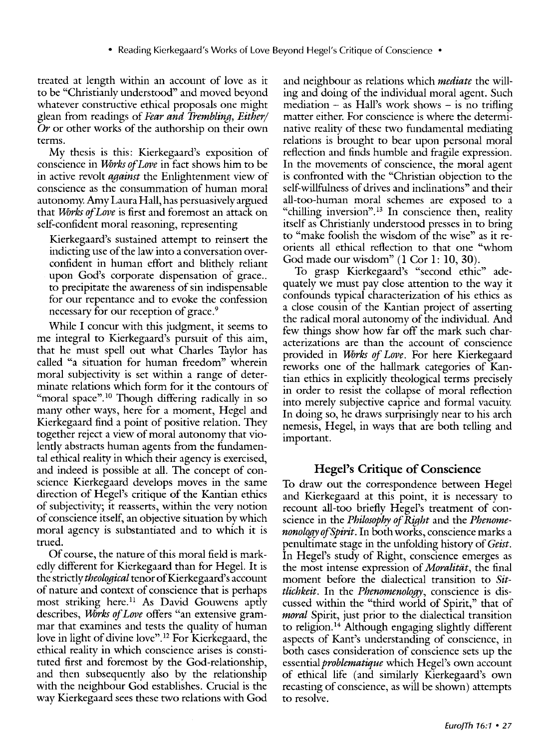treated at length within an account of love as it to be "Christianly understood" and moved beyond whatever constructive ethical proposals one might glean from readings of *Fear and Trembling, Either/*  Or or other works of the authorship on their own terms.

My thesis is this: Kierkegaard's exposition of conscience in *Ufirks of Love* in fact shows him to be in active revolt *against* the Enlightenment view of conscience as the consummation of human moral autonomy. Amy Laura Hall, has persuasively argued that *Ufirks of Love* is first and foremost an attack on self-confident moral reasoning, representing

Kierkegaard's sustained attempt to reinsert the indicting use of the law into a conversation overconfident in human effort and blithely reliant upon God's corporate dispensation of grace.. to precipitate the awareness of sin indispensable for our repentance and to evoke the confession necessary for our reception of grace.<sup>9</sup>

While I concur with this judgment, it seems to me integral to Kierkegaard's pursuit of this aim, that he must spell out what Charles Taylor has called "a situation for human freedom" wherein moral subjectivity is set within a range of determinate relations which form for it the contours of "moral space".<sup>10</sup> Though differing radically in so many other ways, here for a moment, Hegel and Kierkegaard find a point of positive relation. They together reject a view of moral autonomy that violently abstracts human agents from the fundamental ethical reality in which their agency is exercised, and indeed is possible at all. The concept of conscience Kierkegaard develops moves in the same direction of Hegel's critique of the Kantian ethics of subjectivity; it reasserts, within the very notion of conscience itself, an objective situation by which moral agency is substantiated and to which it is trued.

Of course, the nature of this moral field is markedly different for Kierkegaard than for Hegel. It is the strictly *theological* tenor of Kierkegaard's account of nature and context of conscience that is perhaps most striking here.<sup>11</sup> As David Gouwens aptly describes, *Works of Love* offers "an extensive grammar that examines and tests the quality of human love in light of divine love". 12 For Kierkegaard, the ethical reality in which conscience arises is constituted first and foremost by the God-relationship, and then subsequently also by the relationship with the neighbour God establishes. Crucial is the way Kierkegaard sees these two relations with God and neighbour as relations which *mediate* the willing and doing of the individual moral agent. Such mediation  $-$  as Hall's work shows  $-$  is no trifling matter either. For conscience is where the determinative reality of these two fundamental mediating relations is brought to bear upon personal moral reflection and finds humble and fragile expression. In the movements of conscience, the moral agent is confronted with the "Christian objection to the self-willfulness of drives and inclinations" and their all-too-human moral schemes are exposed to a "chilling inversion".<sup>13</sup> In conscience then, reality itself as Christianly understood presses in to bring to "make foolish the wisdom of the wise" as it reorients all ethical reflection to that one "whom God made our wisdom" **(1** Cor 1: **10,** 30).

To grasp Kierkegaard's "second ethic" adequately we must pay close attention to the way it confounds typical characterization of his ethics as a close cousin of the Kantian project of asserting the radical moral autonomy of the individual. And few things show how far off the mark such characterizations are than the account of conscience provided in *Works of Love.* For here Kierkegaard reworks one of the hallmark categories of Kantian ethics in explicitly theological terms precisely in order to resist the collapse of moral reflection into merely subjective caprice and formal vacuity. In doing so, he draws surprisingly near to his arch nemesis, Hegel, in ways that are both telling and important.

## **Hegel's Critique of Conscience**

To draw out the correspondence between Hegel and Kierkegaard at this point, it is necessary to recount all-too briefly Hegel's treatment of conscience in the *Philosophy of Right* and the *Phenomenonology ofSpirit.* In both works, conscience marks a penultimate stage in the unfolding history of *Geist.*  In Hegel's study of Right, conscience emerges as the most intense expression of *Moralitat*, the final moment before the dialectical transition to *Sittlichkeit.* In the *Phenomenology,* conscience is discussed within the "third world of Spirit," that of *moral* Spirit, just prior to the dialectical transition to religion. 14 Although engaging slightly different aspects of Kant's understanding of conscience, in both cases consideration of conscience sets up the essential *problematique* which Hegel's own account of ethical life (and similarly Kierkegaard's own recasting of conscience, as will be shown) attempts to resolve.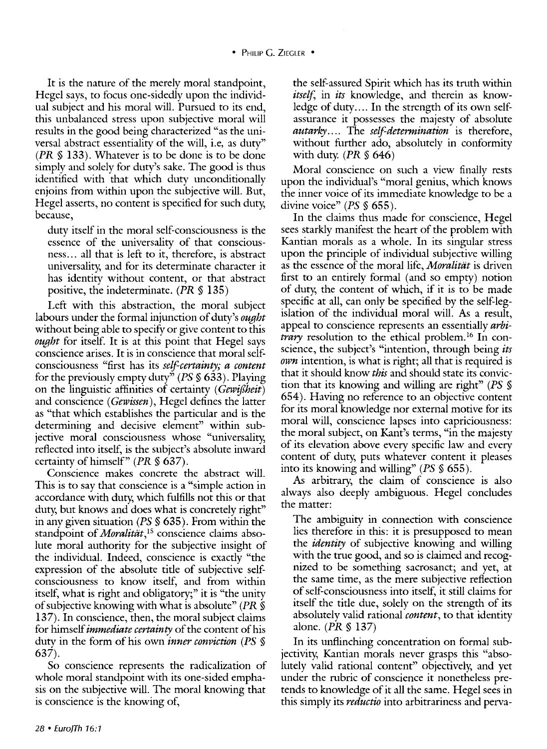It is the nature of the merely moral standpoint, Hegel says, to focus one-sidedly upon the individual subject and his moral will. Pursued to its end, this unbalanced stress upon subjective moral will results in the good being characterized "as the universal abstract essentiality of the will, i.e, as duty" *(PR§* 133). Whatever is to be done is to be done simply and solely for duty's sake. The good is thus identified with that which duty unconditionally enjoins from within upon the subjective will. But, Hegel asserts, no content is specified for such duty, because,

duty itself in the moral self-consciousness is the essence of the tmiversality of that consciousness... all that is left to it, therefore, is abstract universality, and for its determinate character it has identity without content, or that abstract positive, the indeterminate. *(PR* § 135)

Left with this abstraction, the moral subject labours under the formal injunction of duty's *ought*  without being able to specify or give content to this *ought* for itself. It is at this point that Hegel says conscience arises. It is in conscience that moral selfconsciousness "first has its *self-certainty; a content*  for the previously empty duty" *(PS* § 633). Playing on the linguistic affinities of certainty ( *Gewijlheit)*  and conscience *(Gewissen)*, Hegel defines the latter as "that which establishes the particular and is the determining and decisive element" within subjective moral consciousness whose "universality, reflected into itself, is the subject's absolute inward certainty of himself" *(PR§* 637).

Conscience makes concrete the abstract will. This is to say that conscience is a "simple action in accordance with duty, which fulfills not this or that duty, but knows and does what is concretely right" in any given situation *(PS§* 635). From within the standpoint of *Moralität*,<sup>15</sup> conscience claims absolute moral authority for the subjective insight of the individual. Indeed, conscience is exactly "the expression of the absolute title of subjective selfconsciousness to know itself, and from within itself, what is right and obligatory;" it is "the unity of subjective knowing with what is absolute" *(PR* § 137). In conscience, then, the moral subject claims for himself *immediate certainty* of the content of his duty in the form of his own *inner conviction (PS* § 637).

So conscience represents the radicalization of whole moral standpoint with its one-sided emphasis on the subjective will. The moral knowing that is conscience is the knowing of,

the self-assured Spirit which has its truth within *itself,* in *its* knowledge, and therein as knowledge of duty.... In the strength of its own selfassurance it possesses the majesty of absolute *autarky....* The *self-determination* is therefore, without further ado, absolutely in conformity with duty. *(PR* § 646)

Moral conscience on such a view finally rests upon the individual's "moral genius, which knows the inner voice of its immediate knowledge to be a divine voice" *(PS§* 655).

In the claims thus made for conscience, Hegel sees starkly manifest the heart of the problem with Kantian morals as a whole. In its singular stress upon the principle of individual subjective willing as the essence of the moral life, *Moralität* is driven first to an entirely formal (and so empty) notion of duty, the content of which, if it is to be made specific at all, can only be specified by the self-legislation of the individual moral will. *As* a result, appeal to conscience represents an essentially *arbitrary* resolution to the ethical problem.<sup>16</sup> In conscience, the subject's "intention, through being *its own* intention, is what is right; all that is required is that it should know *this* and should state its conviction that its knowing and willing are right" *(PS* § 654). Having no reference to an objective content for its moral knowledge nor external motive for its moral will, conscience lapses into capriciousness: the moral subject, on Kant's terms, "in the majesty of its elevation above every specific law and every content of duty, puts whatever content it pleases into its knowing and willing" *(PS§* 655).

*As* arbitrary, the claim of conscience is also always also deeply ambiguous. Hegel concludes the matter:

The ambiguity in connection with conscience lies therefore in this: it is presupposed to mean the *identity* of subjective knowing and willing with the true good, and so is claimed and recognized to be something sacrosanct; and yet, at the same time, as the mere subjective reflection of self-consciousness into itself, it still claims for itself the title due, solely on the strength of its absolutely valid rational *content,* to that identity alone. *(PR§* 137)

In its unflinching concentration on formal subjectivity, Kantian morals never grasps this "absolutely valid rational content" objectively, and yet under the rubric of conscience it nonetheless pretends to knowledge of it all the same. Hegel sees in this simply its *reductio* into arbitrariness and perva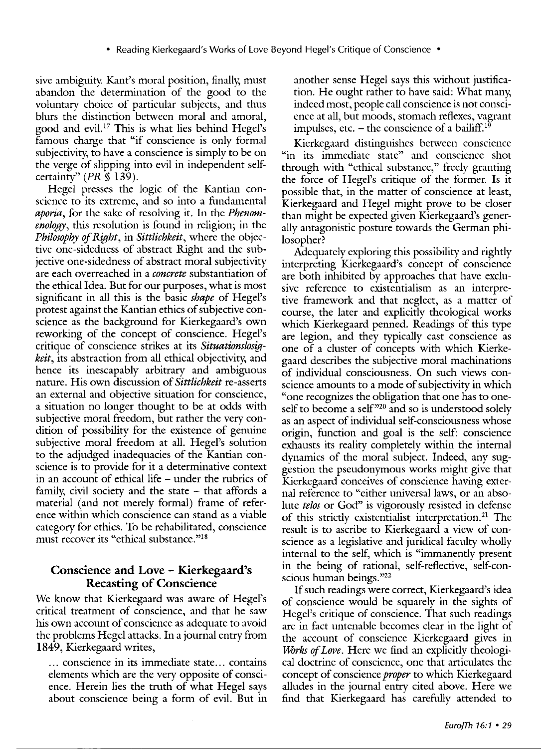sive ambiguity. Kant's moral position, finally, must abandon the determination of the good to the voluntary choice of particular subjects, and thus blurs the distinction between moral and amoral, good and evil. 17 This is what lies behind Hegel's famous charge that "if conscience is only formal subjectivity, to have a conscience is simply to be on the verge of slipping into evil in independent selfcertainty"  $(PR \hat{\S} 139)$ .

Hegel presses the logic of the Kantian conscience to its extreme, and so into a fundamental *aporia,* for the sake of resolving it. In the *Phenomenology,* this resolution is found in religion; in the *Philosophy of Right,* in *Sittlichkeit,* where the objective one-sidedness of abstract Right and the subjective one-sidedness of abstract moral subjectivity are each overreached in a *concrete* substantiation of the ethical Idea. But for our purposes, what is most significant in all this is the basic *shape* of Hegel's protest against the Kantian ethics of subjective conscience as the background for Kierkegaard's own reworking of the concept of conscience. Hegel's critique of conscience strikes at its *Situationslosigkeit,* its abstraction from all ethical objectivity, and hence its inescapably arbitrary and ambiguous nature. His own discussion of *Sittlichkeit* re-asserts an external and objective situation for conscience, a situation no longer thought to be at odds with subjective moral freedom, but rather the very condition of possibility for the existence of genuine subjective moral freedom at all. Hegel's solution to the adjudged inadequacies of the Kantian conscience is to provide for it a determinative context in an account of ethical life – under the rubrics of family, civil society and the state  $-$  that affords a material (and not merely formal) frame of reference within which conscience can stand as a viable category for ethics. To be rehabilitated, conscience must recover its "ethical substance."<sup>18</sup>

## **Conscience and Love - K.ierkegaard's Recasting of Conscience**

We know that Kierkegaard was aware of Hegel's critical treatment of conscience, and that he saw his own account of conscience as adequate to avoid the problems Hegel attacks. In a journal entry from 1849, Kierkegaard writes,

... conscience in its immediate state ... contains elements which are the very opposite of conscience. Herein lies the truth of what Hegel says about conscience being a form of evil. But in another sense Hegel says this without justification. He ought rather to have said: What many, indeed most, people call conscience is not conscience at all, but moods, stomach reflexes, vagrant impulses, etc. – the conscience of a bailiff. $1\overline{9}$ 

Kierkegaard distinguishes between conscience "in its immediate state" and conscience shot through with "ethical substance," freely granting the force of Hegel's critique of the former. Is it possible that, in the matter of conscience at least, Kierkegaard and Hegel might prove to be closer than might be expected given Kierkegaard's generally antagonistic posture towards the German philosopher?

Adequately exploring this possibility and rightly interpreting Kierkegaard's concept of conscience are both inhibited by approaches that have exclusive reference to existentialism as an interpretive framework and that neglect, as a matter of course, the later and explicitly theological works which Kierkegaard penned. Readings of this type are legion, and they typically cast conscience as one of a cluster of concepts with which Kierkegaard describes the subjective moral machinations of individual consciousness. On such views conscience amounts to a mode of subjectivity in which "one recognizes the obligation that one has to oneself to become a self<sup>320</sup> and so is understood solely as an aspect of individual self-consciousness whose origin, function and goal is the self: conscience exhausts its reality completely within the internal dynamics of the moral subject. Indeed, any suggestion the pseudonymous works might give that Kierkegaard conceives of conscience having external reference to "either universal laws, or an absolute *telos* or God" is vigorously resisted in defense of this strictly existentialist interpretation.<sup>21</sup> The result is to ascribe to Kierkegaard a view of conscience as a legislative and juridical faculty wholly internal to the self, which is "immanently present in the being of rational, self-reflective, self-conscious human beings."22

If such readings were correct, Kierkegaard's idea of conscience would be squarely in the sights of Hegel's critique of conscience. That such readings are in fact untenable becomes clear in the light of the account of conscience Kierkegaard gives in *Wirks of Love.* Here we find an explicitly theological doctrine of conscience, one that articulates the concept of conscience *proper* to which Kierkegaard alludes in the journal entry cited above. Here we find that Kierkegaard has carefully attended to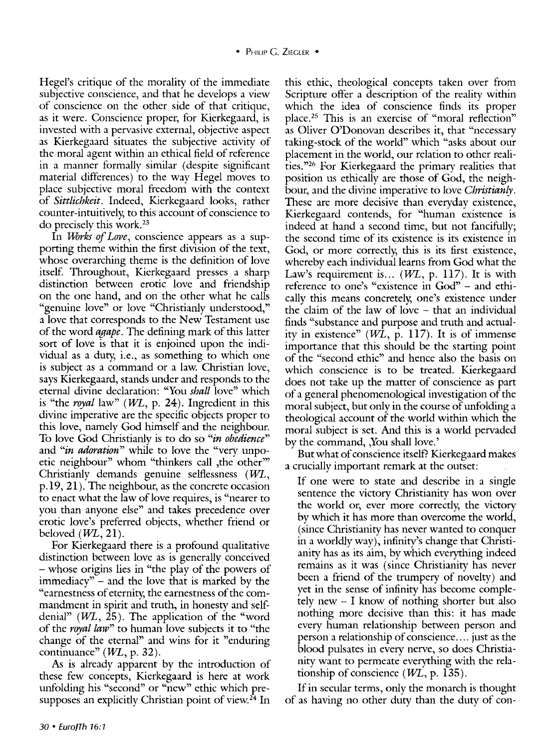Hegel's critique of the morality of the immediate subjective conscience, and that he develops a view of conscience on the other side of that critique, as it were. Conscience proper, for Kierkegaard, is invested with a pervasive external, objective aspect as Kierkegaard situates the subjective activity of the moral agent within an ethical field of reference in a manner formally similar (despite significant material differences) to the way Hegel moves to place subjective moral freedom with the context of *Sittlichkeit.* Indeed, Kierkegaard looks, rather counter-intuitively, to this account of conscience to do precisely this work. 23

In *Works of Love*, conscience appears as a supporting theme within the first division of the text, whose overarching theme is the definition of love itself. Throughout, Kierkegaard presses a sharp distinction between erotic love and friendship on the one hand, and on the other what he calls "genuine love" or love "Christianly understood," a love that corresponds to the New Testament use of the word *agape.* The defining mark of this latter sort of love is that it is enjoined upon the individual as a duty, i.e., as something to which one is subject as a command or a law. Christian love, says Kierkegaard, stands under and responds to the eternal divine declaration: "You *shall* love" which is "the *royal* law" (*WL*, p. 24). Ingredient in this divine imperative are the specific objects proper to this love, namely God himself and the neighbour. To love God Christianly is to do so *"in obedience"*  and *"in adoration"* while to love the "very unpoetic neighbour" whom "thinkers call , the other" Christianly demands genuine selflessness  $(WL,$ p.19, 21). The neighbour, as the concrete occasion to enact what the law of love requires, is "nearer to you than anyone else" and takes precedence over erotic love's preferred objects, whether friend or beloved  $(WL, 21)$ .

For Kierkegaard there is a profound qualitative distinction between love as is generally conceived - whose origins lies in "the play of the powers of immediacy" - and the love that is marked by the "earnestness of eternity, the earnestness of the cornmandment in spirit and truth, in honesty and selfdenial"  $(WL, 25)$ . The application of the "word" of the *royal law"* to human love subjects it to "the change of the eternal" and wins for it "enduring continuance"  $(WL, p. 32)$ .

As is already apparent by the introduction of these few concepts, Kierkegaard is here at work unfolding his "second" or "new" ethic which presupposes an explicitly Christian point of view.<sup>24</sup> In

this ethic, theological concepts taken over from Scripture offer a description of the reality within which the idea of conscience finds its proper place. 25 This is an exercise of "moral reflection" as Oliver O'Donovan describes it, that "necessary taking-stock of the world" which "asks about our placement in the world, our relation to other realities."26 For Kierkegaard the primary realities that position us ethically are those of God, the neighbour, and the divine imperative to love *Christianly.*  These are more decisive than everyday existence, Kierkegaard contends, for "human existence is indeed at hand a second time, but not fancifully; the second time of its existence is its existence in God, or more correctly, this is its first existence, whereby each individual learns from God what the Law's requirement is...  $(WL, p. 117)$ . It is with reference to one's "existence in God" - and ethically this means concretely, one's existence under the claim of the law of love  $-$  that an individual finds "substance and purpose and truth and actuality in existence"  $(W\tilde{L}, p. 117)$ . It is of immense importance that this should be the starting point of the "second ethic" and hence also the basis on which conscience is to be treated. Kierkegaard does not take up the matter of conscience as part of a general phenomenological investigation of the moral subject, but only in the course of unfolding a theological account of the world within which the moral subject is set. And this is a world pervaded by the command, ,You shall love.'

But what of conscience itself? Kierkegaard makes a crucially important remark at the outset:

If one were to state and describe in a single sentence the victory Christianity has won over the world or, ever more correctly, the victory by which it has more than overcome the world, (since Christianity has never wanted to conquer in a worldly way), infinity's change that Christianity has as its aim, by which everything indeed remains as it was (since Christianity has never been a friend of the trumpery of novelty) and yet in the sense of infinity has become completely new - I know of nothing shorter but also nothing more decisive than this: it has made every human relationship between person and person a relationship of conscience .... just as the blood pulsates in every nerve, so does Christianity want to permeate everything with the relationship of conscience  $(W<sub>L</sub>, p. 135)$ .

If in secular terms, only the monarch is thought of as having no other duty than the duty of con-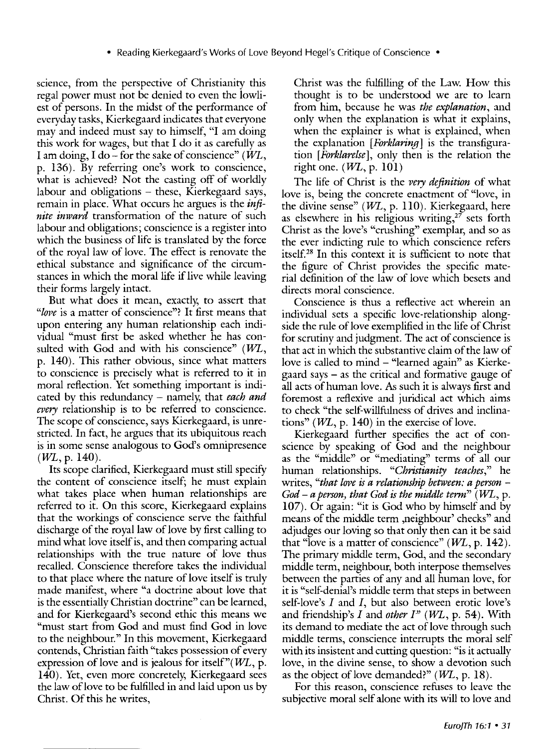science, from the perspective of Christianity this regal power must not be denied to even the lowliest of persons. In the midst of the performance of everyday tasks, Kierkegaard indicates that everyone may and indeed must say to himself, "I am doing this work for wages, but that I do it as carefully as I am doing, I do – for the sake of conscience" ( $W_L$ , p. 136). By referring one's work to conscience, what is achieved? Not the casting off of worldly labour and obligations - these, Kierkegaard says, remain in place. What occurs he argues is the *infinite inward* transformation of the nature of such labour and obligations; conscience is a register into which the business of life is translated by the force of the royal law of love. The effect is renovate the ethical substance and significance of the circumstances in which the moral life if live while leaving their forms largely intact.

But what does it mean, exactly, to assert that *"love* is a matter of conscience"? It first means that upon entering any human relationship each individual "must first be asked whether he has consulted with God and with his conscience"  $(WL,$ p. 140). This rather obvious, since what matters to conscience is precisely what is referred to it in moral reflection. Yet something important is indicated by this redundancy- namely, that *each and every* relationship is to be referred to conscience. The scope of conscience, says Kierkegaard, is unrestricted. In fact, he argues that its ubiquitous reach is in some sense analogous to God's omnipresence  $(WL, p. 140)$ .

Its scope clarified, Kierkegaard must still specify the content of conscience itself; he must explain what takes place when human relationships are referred to it. On this score, Kierkegaard explains that the workings of conscience serve the faithful discharge of the royal law of love by first calling to mind what love itself is, and then comparing actual relationships with the true nature of love thus recalled. Conscience therefore takes the individual to that place where the nature of love itself is truly made manifest, where "a doctrine about love that is the essentially Christian doctrine" can be learned, and for Kierkegaard's second ethic this means we "must start from God and must find God in love to the neighbour." In this movement, Kierkegaard contends, Christian faith "takes possession of every expression of love and is jealous for itself" $(WL, p$ . 140). Yet, even more concretely, Kierkegaard sees the law of love to be fulfilled in and laid upon us by Christ. Of this he writes,

Christ was the fulfilling of the Law. How this thought is to be understood we are to learn from him, because he was *the explanation,* and only when the explanation is what it explains, when the explainer is what is explained, when the explanation *[Forklaring]* is the transfiguration *[Forklarelse],* only then is the relation the right one.  $(WL, p. 101)$ 

The life of Christ is the *very definition* of what love is, being the concrete enactment of "love, in the divine sense"  $(WL, p. 110)$ . Kierkegaard, here as elsewhere in his religious writing, $2^7$  sets forth Christ as the love's "crushing" exemplar, and so as the ever indicting rule to which conscience refers itself. 28 In this context it is sufficient to note that the figure of Christ provides the specific material definition of the law of love which besets and directs moral conscience.

Conscience is thus a reflective act wherein an individual sets a specific love-relationship alongside the rule of love exemplified in the life of Christ for scrutiny and judgment. The act of conscience is that act in which the substantive claim of the law of love is called to mind – "learned again" as Kierkegaard says - as the critical and formative gauge of all acts of human love. As such it is always first and foremost a reflexive and juridical act which aims to check "the self-willfulness of drives and inclinations" ( $WL$ , p. 140) in the exercise of love.

Kierkegaard further specifies the act of conscience by speaking of God and the neighbour as the "middle" or "mediating" terms of all our human relationships. *"Christianity teaches,"* he writes, "that love is a relationship between: a person -*God* – a person, that God is the middle term<sup>"</sup> (WL, p. 107). Or again: "it is God who by himself and by means of the middle term ,neighbour' checks" and adjudges our loving so that only then can it be said that "love is a matter of conscience"  $(W<sub>L</sub>, p. 142)$ . The primary middle term, God, and the secondary middle term, neighbour, both interpose themselves between the parties of any and all human love, for it is "self-denial's middle term that steps in between self-love's  $I$  and  $I$ , but also between erotic love's and friendship's *I* and *other I*" (WL, p. 54). With its demand to mediate the act of love through such middle terms, conscience interrupts the moral self with its insistent and cutting question: "is it actually love, in the divine sense, to show a devotion such as the object of love demanded?"  $(WL, p. 18)$ .

For this reason, conscience refuses to leave the subjective moral self alone with its will to love and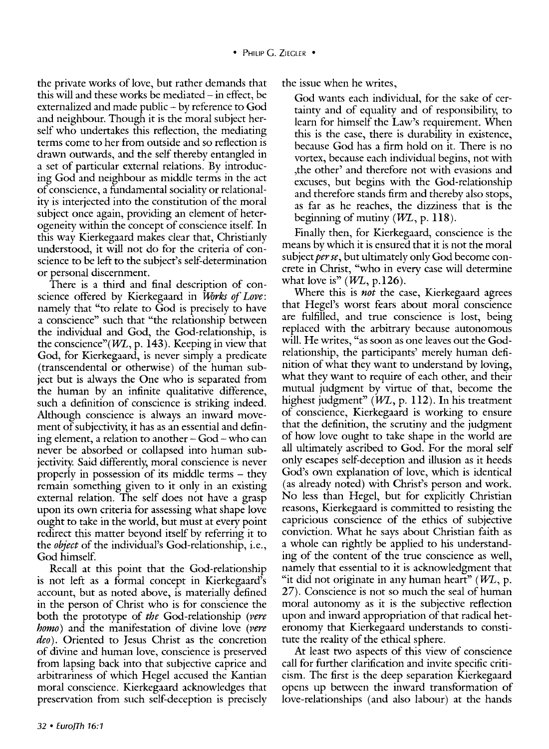the private works of love, but rather demands that this will and these works be mediated  $-$  in effect, be externalized and made public - by reference to God and neighbour. Though it is the moral subject herself who undertakes this reflection, the mediating terms come to her from outside and so reflection is drawn outwards, and the self thereby entangled in a set of particular external relations. By introducing God and neighbour as middle terms in the act of conscience, a fundamental sociality or relationality is interjected into the constitution of the moral subject once again, providing an element of heterogeneity within the concept of conscience itself. In this way Kierkegaard makes clear that, Christianly understood, it will not do for the criteria of conscience to be left to the subject's self-determination or personal discernment.

There is a third and final description of conscience offered by Kierkegaard in *Works of Love:*  namely that "to relate to God is precisely to have a conscience" such that "the relationship between the individual and God, the God-relationship, is the conscience" $(W<sub>L</sub>, p. 143)$ . Keeping in view that God, for Kierkegaard, is never simply a predicate (transcendental or otherwise) of the human subject but is always the One who is separated from the human by an infinite qualitative difference, such a definition of conscience is striking indeed. Although conscience is always an inward movement of subjectivity, it has as an essential and defining element, a relation to another  $-$  God  $-$  who can never be absorbed or collapsed into human subjectivity. Said differently, moral conscience is never properly in possession of its middle terms - they remain something given to it only in an existing external relation. The self does not have a grasp upon its own criteria for assessing what shape love ought to take in the world, but must at every point redirect this matter beyond itself by referring it to the *object* of the individual's God-relationship, i.e., God himself.

Recall at this point that the God-relationship is not left as a formal concept in Kierkegaard's account, but as noted above, is materially defined in the person of Christ who is for conscience the both the prototype of *the* God-relationship *(vere homo)* and the manifestation of divine love *(vere deo).* Oriented to Jesus Christ as the concretion of divine and human love, conscience is preserved from lapsing back into that subjective caprice and arbitrariness of which Hegel accused the Kantian moral conscience. Kierkegaard acknowledges that preservation from such self-deception is precisely the issue when he writes,

God wants each individual, for the sake of certainty and of equality and of responsibility, to learn for himself the Law's requirement. When this is the case, there is durability in existence, because God has a firm hold on it. There is no vortex, because each individual begins, not with ,the other' and therefore not with evasions and excuses, but begins with the God-relationship and therefore stands firm and thereby also stops, as far as he reaches, the dizziness that is the beginning of mutiny  $(WL, p. 118)$ .

Finally then, for Kierkegaard, conscience is the means by which it is ensured that it is not the moral subject *per se,* but ultimately only God become concrete in Christ, "who in every case will determine what love is"  $(WL, p.126)$ .

Where this is *not* the case, Kierkegaard agrees that Hegel's worst fears about moral conscience are fulfilled, and true conscience is lost, being replaced with the arbitrary because autonomous will. He writes, "as soon as one leaves out the Godrelationship, the participants' merely human definition of what they want to understand by loving, what they want to require of each other, and their mutual judgment by virtue of that, become the highest judgment"  $(W<sub>L</sub>, p. 112)$ . In his treatment of conscience, Kierkegaard is working to ensure that the definition, the scrutiny and the judgment of how love ought to take shape in the world are all ultimately ascribed to God. For the moral self only escapes self-deception and illusion as it heeds God's own explanation of love, which is identical (as already noted) with Christ's person and work. No less than Hegel, but for explicitly Christian reasons, Kierkegaard is committed to resisting the capricious conscience of the ethics of subjective conviction. What he says about Christian faith as a whole can rightly be applied to his understanding of the content of the true conscience as well, namely that essential to it is acknowledgment that "it did not originate in any human heart"  $(WL, p.$ 27). Conscience is not so much the seal of human moral autonomy as it is the subjective reflection upon and inward appropriation of that radical heteronomy that Kierkegaard understands to constitute the reality of the ethical sphere.

At least two aspects of this view of conscience call for further clarification and invite specific criticism. The first is the deep separation Kierkegaard opens up between the inward transformation of love-relationships (and also labour) at the hands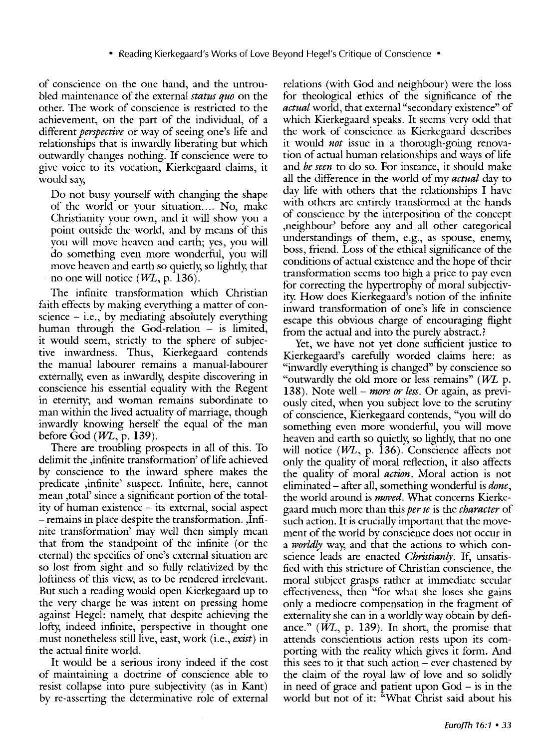of conscience on the one hand, and the untroubled maintenance of the external *status quo* on the other. The work of conscience is restricted to the achievement, on the part of the individual, of a different *perspective* or way of seeing one's life and relationships that is inwardly liberating but which outwardly changes nothing. If conscience were to give voice to its vocation, Kierkegaard claims, it would say,

Do not busy yourself with changing the shape of the world or your situation.... No, make Christianity your own, and it will show you a point outside the world, and by means of this you will move heaven and earth; yes, you will do something even more wonderful, you will move heaven and earth so quietly, so lightly, that no one will notice *(WL,* p. 136).

The infinite transformation which Christian faith effects by making everything a matter of conscience  $-$  i.e., by mediating absolutely everything human through the God-relation  $-$  is limited, it would seem, strictly to the sphere of subjective inwardness. Thus, Kierkegaard contends the manual labourer remains a manual-labourer externally, even as inwardly, despite discovering in conscience his essential equality with the Regent in eternity; and woman remains subordinate to man within the lived actuality of marriage, though inwardly knowing herself the equal of the man before God  $(WL, p. 139)$ .

There are troubling prospects in all of this. To delimit the ,infinite transformation' of life achieved by conscience to the inward sphere makes the predicate ,infinite' suspect. Infinite, here, cannot mean ,total' since a significant portion of the totality of human existence - its external, social aspect -remains in place despite the transformation. ,Infinite transformation' may well then simply mean that from the standpoint of the infinite (or the eternal) the specifics of one's external situation are so lost from sight and so fully relativized by the loftiness of this view, as to be rendered irrelevant. But such a reading would open Kierkegaard up to the very charge he was intent on pressing home against Hegel: namely, that despite achieving the lofty, indeed infinite, perspective in thought one must nonetheless still live, east, work (i.e., *exist)* in the actual finite world.

It would be a serious irony indeed if the cost of maintaining a doctrine of conscience able to resist collapse into pure subjectivity (as in Kant) by re-asserting the determinative role of external

relations (with God and neighbour) were the loss for theological ethics of the significance of the *actual* world, that external "secondary existence" of which Kierkegaard speaks. It seems very odd that the work of conscience as Kierkegaard describes it would *not* issue in a thorough-going renovation of actual human relationships and ways of life and *be seen* to do so. For instance, it should make all the difference in the world of my *actual* day to day life with others that the relationships I have with others are entirely transformed at the hands of conscience by the interposition of the concept ,neighbour' before any and all other categorical understandings of them, e.g., as spouse, enemy, boss, friend. Loss of the ethical significance of the conditions of actual existence and the hope of their transformation seems too high a price to pay even for correcting the hypertrophy of moral subjectivity. How does Kierkegaard's notion of the infinite inward transformation of one's life in conscience escape this obvious charge of encouraging flight from the actual and into the purely abstract.?

Yet, we have not yet done sufficient justice to Kierkegaard's carefully worded claims here: as "inwardly everything is changed" by conscience so "outwardly the old more or less remains" ( $WL$  p. 138). Note well- *more or less.* Or again, as previously cited, when you subject love to the scrutiny of conscience, Kierkegaard contends, "you will do something even more wonderful, you will move heaven and earth so quietly, so lightly, that no one will notice  $(W<sub>L</sub>, p. 136)$ . Conscience affects not only the quality of moral reflection, it also affects the quality of moral *action.* Moral action is not eliminated- after all, something wonderful is *done,*  the world around is *moved.* What concerns Kierkegaard much more than this *per se* is the *character* of such action. It is crucially important that the movement of the world by conscience does not occur in a *worldly* way, and that the actions to which conscience leads are enacted *Christianly.* If, unsatisfied with this stricture of Christian conscience, the moral subject grasps rather at immediate secular effectiveness, then "for what she loses she gains only a mediocre compensation in the fragment of externality she can in a worldly way obtain by defiance." (WL, p. 139). In short, the promise that attends conscientious action rests upon its comporting with the reality which gives it form. And this sees to it that such action  $-$  ever chastened by the claim of the royal law of love and so solidly in need of grace and patient upon God - is in the world but not of it: "What Christ said about his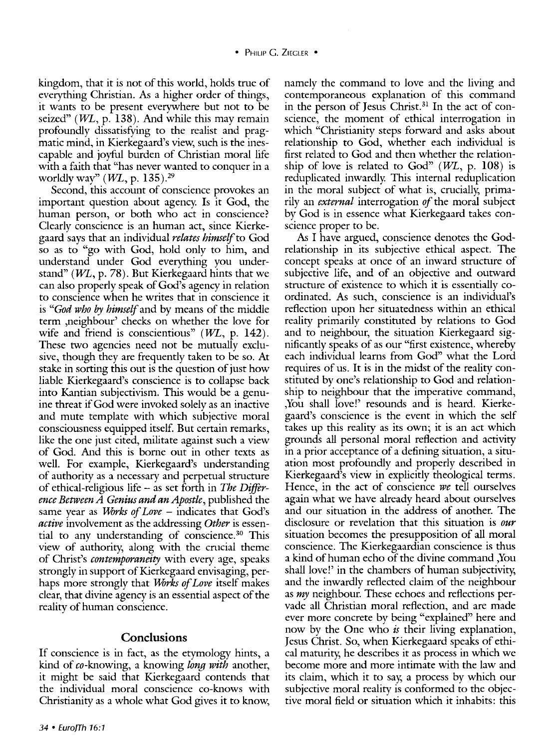kingdom, that it is not of this world, holds true of everything Christian. As a higher order of things, it wants to be present everywhere but not to be seized" ( $WL$ , p. 138). And while this may remain profoundly dissatisfying to the realist and pragmatic mind, in Kierkegaard's view, such is the inescapable and joyful burden of Christian moral life with a faith that "has never wanted to conquer in a worldly way"  $(WL, p. 135).^{29}$ 

Second, this account of conscience provokes an important question about agency. Is it God, the human person, or both who act in conscience? Clearly conscience is an human act, since Kierkegaard says that an individual *relates himself* to God so as to "go with God, hold only to him, and understand under God everything you understand" ( $WL$ , p. 78). But Kierkegaard hints that we can also properly speak of God's agency in relation to conscience when he writes that in conscience it is *"God who* by *himself* and by means of the middle term ,neighbour' checks on whether the love for wife and friend is conscientious"  $(WL, p. 142)$ . These two agencies need not be mutually exclusive, though they are frequently taken to be so. At stake in sorting this out is the question of just how liable Kierkegaard's conscience is to collapse back into Kantian subjectivism. This would be a genuine threat if God were invoked solely as an inactive and mute template with which subjective moral consciousness equipped itself. But certain remarks, like the one just cited, militate against such a view of God. And this is borne out in other texts as well. For example, Kierkegaard's understanding of authority as a necessary and perpetual structure of ethical-religious life- as set forth in *The Difference Between A Genius and an Apostle,* published the same year as *Works of Love* – indicates that God's *active* involvement as the addressing *Other* is essential to any understanding of conscience. 30 This view of authority, along with the crucial theme of Christ's *contemporaneity* with every age, speaks strongly in support of Kierkegaard envisaging, perhaps more strongly that *Works of Love* itself makes clear, that divine agency is an essential aspect of the reality of human conscience.

## **Conclusions**

If conscience is in fact, as the etymology hints, a kind of eo-knowing, a knowing *kmg with* another, it might be said that Kierkegaard contends that the individual moral conscience eo-knows with Christianity as a whole what God gives it to know, namely the command to love and the living and contemporaneous explanation of this command in the person of Jesus Christ.<sup>31</sup> In the act of conscience, the moment of ethical interrogation in which "Christianity steps forward and asks about relationship to God, whether each individual is first related to God and then whether the relationship of love is related to God" *(WL,* p. 108) is reduplicated inwardly. This internal reduplication in the moral subject of what is, crucially, primarily an *external* interrogation *of* the moral subject by God is in essence what Kierkegaard takes conscience proper to be.

As I have argued, conscience denotes the Godrelationship in its subjective ethical aspect. The concept speaks at once of an inward structure of subjective life, and of an objective and outward structure of existence to which it is essentially coordinated. As such, conscience is an individual's reflection upon her situatedness within an ethical reality primarily constituted by relations to God and to neighbour, the situation Kierkegaard significantly speaks of as our "first existence, whereby each individual learns from God" what the Lord requires of us. It is in the midst of the reality constituted by one's relationship to God and relationship to neighbour that the imperative command, ,You shall love!' resounds and is heard. Kierkegaard's conscience is the event in which the self takes up this reality as its own; it is an act which grounds all personal moral reflection and activity in a prior acceptance of a defining situation, a situation most profoundly and properly described in Kierkegaard's view in explicitly theological terms. Hence, in the act of conscience *we* tell ourselves again what we have already heard about ourselves and our situation in the address of another. The disclosure or revelation that this situation is *our*  situation becomes the presupposition of all moral conscience. The Kierkegaardian conscience is thus a kind of human echo of the divine command ,You shall love!' in the chambers of human subjectivity, and the inwardly reflected claim of the neighbour as *my* neighbour. These echoes and reflections pervade all Christian moral reflection, and are made ever more concrete by being "explained" here and now by the One who *is* their living explanation, Jesus Christ. So, when Kierkegaard speaks of ethical maturity, he describes it as process in which we become more and more intimate with the law and its claim, which it to say, a process by which our subjective moral reality is conformed to the objective moral field or situation which it inhabits: this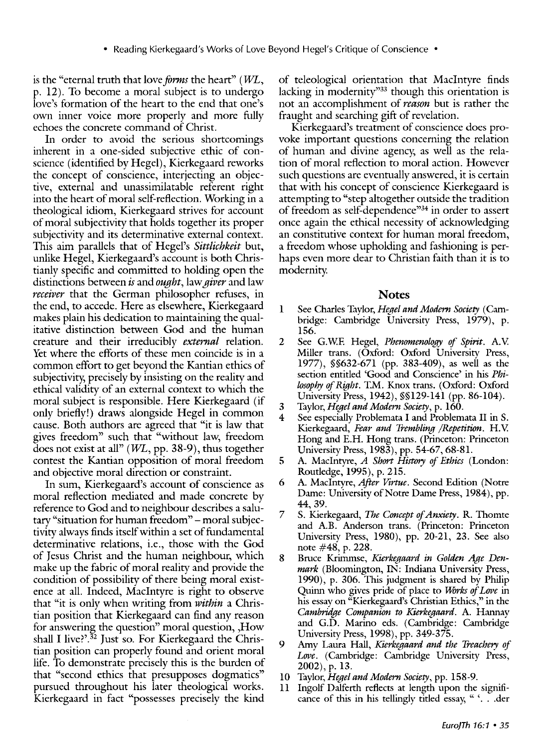is the "eternal truth that love *forms* the heart" *(WL*, p. 12). To become a moral subject is to undergo love's formation of the heart to the end that one's own inner voice more properly and more fully echoes the concrete command of Christ.

In order to avoid the serious shortcomings inherent in a one-sided subjective ethic of conscience (identified by Hegel), Kierkegaard reworks the concept of conscience, interjecting an objective, external and unassimilatable referent right into the heart of moral self-reflection. Working in a theological idiom, Kierkegaard strives for account of moral subjectivity that holds together its proper subjectivity and its determinative external context. This aim parallels that of Hegel's *Sittlichkeit* but, unlike Hegel, Kierkegaard's account is both Christianly specific and committed to holding open the distinctions between *is* and *ought,* law *giver* and law *receiver* that the German philosopher refuses, in the end, to accede. Here as elsewhere, Kierkegaard makes plain his dedication to maintaining the qualitative distinction between God and the human creature and their irreducibly *external* relation. Yet where the efforts of these men coincide is in a common effort to get beyond the Kantian ethics of subjectivity, precisely by insisting on the reality and ethical validity of an external context to which the moral subject is responsible. Here Kierkegaard (if only briefly!) draws alongside Hegel in common cause. Both authors are agreed that "it is law that gives freedom" such that "without law, freedom does not exist at all" *(VVL,* pp. 38-9), thus together contest the Kantian opposition of moral freedom and objective moral direction or constraint.

In sum, Kierkegaard's account of conscience as moral reflection mediated and made concrete by reference to God and to neighbour describes a salutary "situation for human freedom" - moral subjectivity always finds itself within a set of fundamental determinative relations, i.e., those with the God of Jesus Christ and the human neighbour, which make up the fabric of moral reality and provide the condition of possibility of there being moral existence at all. Indeed, Maclntyre is right to observe that "it is only when writing from *within* a Christian position that Kierkegaard can find any reason for answering the question" moral question, ,How shall I live?'.<sup>32</sup> Just so. For Kierkegaard the Christian position can properly found and orient moral life. To demonstrate precisely this is the burden of that "second ethics that presupposes dogmatics" pursued throughout his later theological works. Kierkegaard in fact "possesses precisely the kind

of teleological orientation that Maclntyre finds lacking in modernity<sup>33</sup> though this orientation is not an accomplishment of *reason* but is rather the fraught and searching gift of revelation.

Kierkegaard's treatment of conscience does provoke important questions concerning the relation of human and divine agency; as well as the relation of moral reflection to moral action. However such questions are eventually answered, it is certain that with his concept of conscience Kierkegaard is attempting to "step altogether outside the tradition of freedom as self-dependence<sup>334</sup> in order to assert once again the ethical necessity of acknowledging an constitutive context for human moral freedom, a freedom whose upholding and fashioning is perhaps even more dear to Christian faith than it is to modernity.

#### **Notes**

- 1 See Charles Taylor, *Heael and Modern Society* (Cambridge: Cambridge University Press, 1979), p. 156.
- 2 See G.W.E Hegel, *Phenomenology of Spirit.* A.V. Miller trans. (Oxford: Oxford University Press, 1977), §§632-671 (pp. 383-409), as well as the section entitled 'Good and Conscience' in his *Philosophy of Right.* T.M. Knox trans. (Oxford: Oxford University Press, 1942), §§129-141 (pp. 86-104).
- 3 Taylor,Hegel *and Modern Society,* p. 160.
- See especially Problemata I and Problemata II in S. Kierkegaard, *Fear and Trembling /Repetition.* H.V. Hong and E.H. Hong trans. (Princeton: Princeton University Press, 1983), pp. 54-67, 68-81.
- 5 A. Maclntyre, *A Short History of Ethics* (London: Routledge, 1995), p. 215.
- 6 A. Maclntyre, *4frer Virtue.* Second Edition (Notre Dame: University of Notre Dame Press, 1984), pp. 44, 39.
- 7 S. Kierkegaard, *The Concept of Anxiety.* R. Thomte and A.B. Anderson trans. (Princeton: Princeton University Press, 1980), pp. 20-21, 23. See also note #48, p. 228.
- 8 Bruce Krinunse, *Kierkegaard in Golden Age Denmark* (Bloomington, IN: Indiana University Press, 1990), p. 306. This judgment is shared by Philip Quinn who gives pride of place to *Works of Lwe* in his essay on "Kierkegaard's Christian Ethics," in the *Cambridge Companion to Kierkegaard.* A. Hannay and G.D. Marino eds. (Cambridge: Cambridge University Press, 1998), pp. 349-375.
- 9 Amy Laura Hall, *Kierkegaard and the Treachery of Lwe.* (Cambridge: Cambridge University Press, 2002), p. 13.
- lO Taylor, *Hegel and Modern Society,* pp. 158-9.
- 11 Ingolf Dalferth reflects at length upon the significance of this in his tellingly titled essay, " '... der